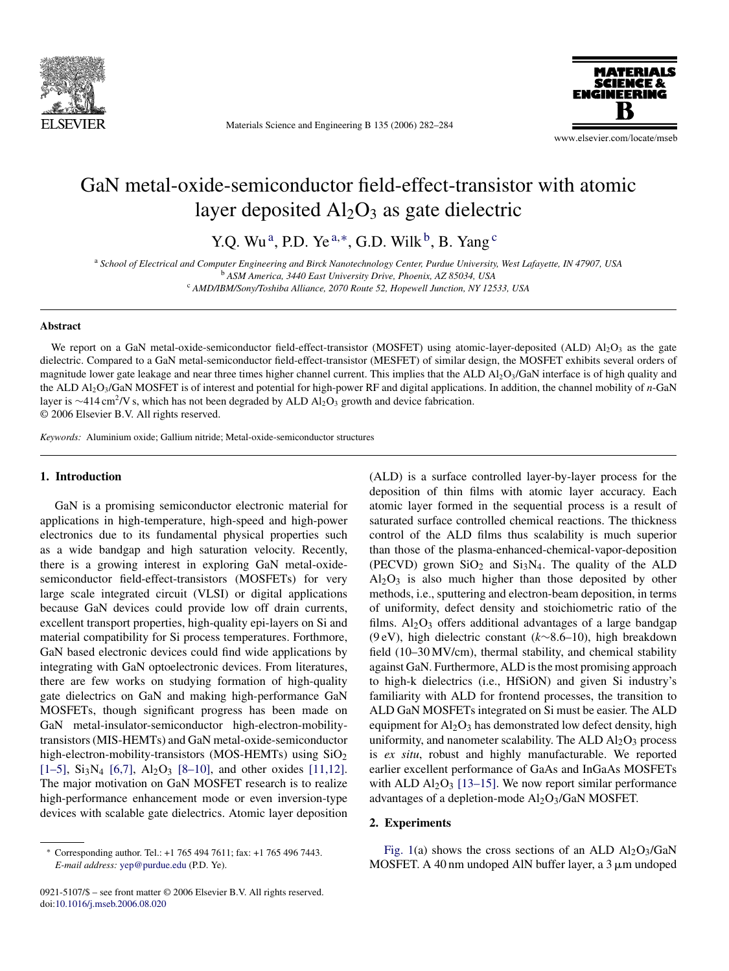

Materials Science and Engineering B 135 (2006) 282–284



www.elsevier.com/locate/mseb

# GaN metal-oxide-semiconductor field-effect-transistor with atomic layer deposited  $Al<sub>2</sub>O<sub>3</sub>$  as gate dielectric

Y.Q. Wu<sup>a</sup>, P.D. Ye<sup>a,\*</sup>, G.D. Wilk<sup>b</sup>, B. Yang<sup>c</sup>

<sup>a</sup> *School of Electrical and Computer Engineering and Birck Nanotechnology Center, Purdue University, West Lafayette, IN 47907, USA* <sup>b</sup> *ASM America, 3440 East University Drive, Phoenix, AZ 85034, USA*

<sup>c</sup> *AMD/IBM/Sony/Toshiba Alliance, 2070 Route 52, Hopewell Junction, NY 12533, USA*

## **Abstract**

We report on a GaN metal-oxide-semiconductor field-effect-transistor (MOSFET) using atomic-layer-deposited (ALD)  $\text{Al}_2\text{O}_3$  as the gate dielectric. Compared to a GaN metal-semiconductor field-effect-transistor (MESFET) of similar design, the MOSFET exhibits several orders of magnitude lower gate leakage and near three times higher channel current. This implies that the ALD Al<sub>2</sub>O<sub>3</sub>/GaN interface is of high quality and the ALD Al2O3/GaN MOSFET is of interest and potential for high-power RF and digital applications. In addition, the channel mobility of *n*-GaN layer is ∼414 cm<sup>2</sup>/V s, which has not been degraded by ALD Al<sub>2</sub>O<sub>3</sub> growth and device fabrication. © 2006 Elsevier B.V. All rights reserved.

*Keywords:* Aluminium oxide; Gallium nitride; Metal-oxide-semiconductor structures

## **1. Introduction**

GaN is a promising semiconductor electronic material for applications in high-temperature, high-speed and high-power electronics due to its fundamental physical properties such as a wide bandgap and high saturation velocity. Recently, there is a growing interest in exploring GaN metal-oxidesemiconductor field-effect-transistors (MOSFETs) for very large scale integrated circuit (VLSI) or digital applications because GaN devices could provide low off drain currents, excellent transport properties, high-quality epi-layers on Si and material compatibility for Si process temperatures. Forthmore, GaN based electronic devices could find wide applications by integrating with GaN optoelectronic devices. From literatures, there are few works on studying formation of high-quality gate dielectrics on GaN and making high-performance GaN MOSFETs, though significant progress has been made on GaN metal-insulator-semiconductor high-electron-mobilitytransistors (MIS-HEMTs) and GaN metal-oxide-semiconductor high-electron-mobility-transistors (MOS-HEMTs) using  $SiO<sub>2</sub>$ [\[1–5\],](#page-2-0)  $Si<sub>3</sub>N<sub>4</sub>$  [\[6,7\],](#page-2-0)  $Al<sub>2</sub>O<sub>3</sub>$  [\[8–10\],](#page-2-0) and other oxides [\[11,12\].](#page-2-0) The major motivation on GaN MOSFET research is to realize high-performance enhancement mode or even inversion-type devices with scalable gate dielectrics. Atomic layer deposition

0921-5107/\$ – see front matter © 2006 Elsevier B.V. All rights reserved. doi[:10.1016/j.mseb.2006.08.020](dx.doi.org/10.1016/j.mseb.2006.08.020)

(ALD) is a surface controlled layer-by-layer process for the deposition of thin films with atomic layer accuracy. Each atomic layer formed in the sequential process is a result of saturated surface controlled chemical reactions. The thickness control of the ALD films thus scalability is much superior than those of the plasma-enhanced-chemical-vapor-deposition (PECVD) grown  $SiO<sub>2</sub>$  and  $Si<sub>3</sub>N<sub>4</sub>$ . The quality of the ALD  $Al_2O_3$  is also much higher than those deposited by other methods, i.e., sputtering and electron-beam deposition, in terms of uniformity, defect density and stoichiometric ratio of the films.  $Al_2O_3$  offers additional advantages of a large bandgap (9 eV), high dielectric constant (*k*∼8.6–10), high breakdown field (10–30 MV/cm), thermal stability, and chemical stability against GaN. Furthermore, ALD is the most promising approach to high-k dielectrics (i.e., HfSiON) and given Si industry's familiarity with ALD for frontend processes, the transition to ALD GaN MOSFETs integrated on Si must be easier. The ALD equipment for  $Al_2O_3$  has demonstrated low defect density, high uniformity, and nanometer scalability. The ALD  $Al_2O_3$  process is *ex situ*, robust and highly manufacturable. We reported earlier excellent performance of GaAs and InGaAs MOSFETs with ALD  $Al_2O_3$  [\[13–15\].](#page-2-0) We now report similar performance advantages of a depletion-mode  $Al_2O_3/GaN$  MOSFET.

## **2. Experiments**

[Fig. 1\(a](#page-1-0)) shows the cross sections of an ALD  $A1_2O3/GaN$ MOSFET. A 40 nm undoped AlN buffer layer, a  $3 \mu$ m undoped

<sup>∗</sup> Corresponding author. Tel.: +1 765 494 7611; fax: +1 765 496 7443. *E-mail address:* [yep@purdue.edu](mailto:yep@purdue.edu) (P.D. Ye).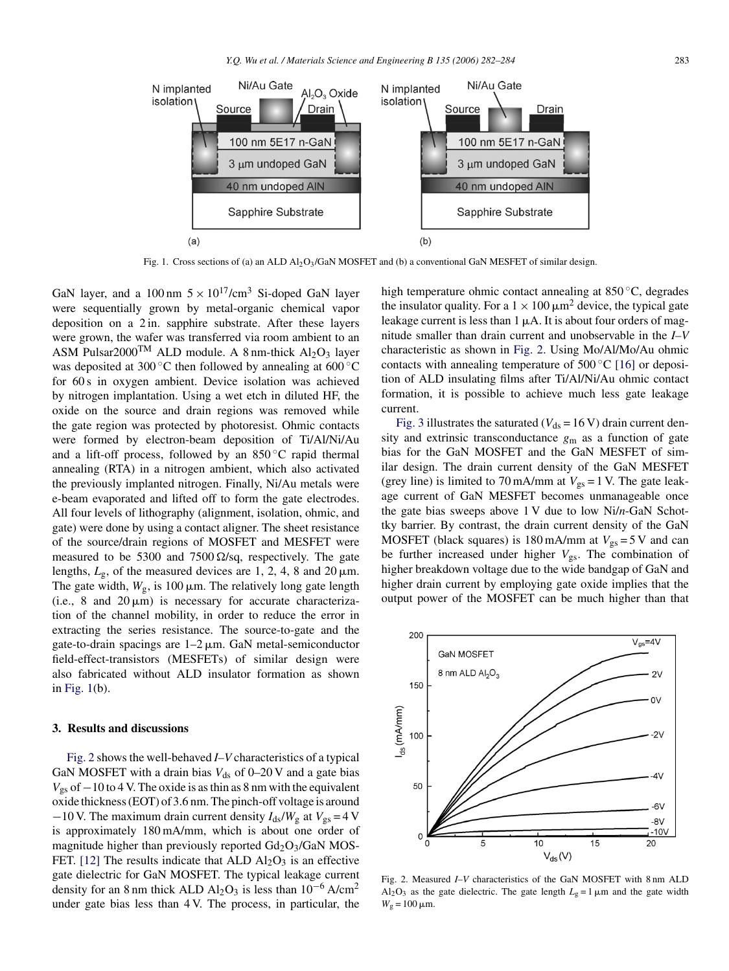<span id="page-1-0"></span>

Fig. 1. Cross sections of (a) an ALD Al2O3/GaN MOSFET and (b) a conventional GaN MESFET of similar design.

GaN layer, and a 100 nm  $5 \times 10^{17}$ /cm<sup>3</sup> Si-doped GaN layer were sequentially grown by metal-organic chemical vapor deposition on a 2 in. sapphire substrate. After these layers were grown, the wafer was transferred via room ambient to an ASM Pulsar2000<sup>TM</sup> ALD module. A 8 nm-thick  $Al_2O_3$  layer was deposited at 300 °C then followed by annealing at 600 °C for 60 s in oxygen ambient. Device isolation was achieved by nitrogen implantation. Using a wet etch in diluted HF, the oxide on the source and drain regions was removed while the gate region was protected by photoresist. Ohmic contacts were formed by electron-beam deposition of Ti/Al/Ni/Au and a lift-off process, followed by an  $850^{\circ}$ C rapid thermal annealing (RTA) in a nitrogen ambient, which also activated the previously implanted nitrogen. Finally, Ni/Au metals were e-beam evaporated and lifted off to form the gate electrodes. All four levels of lithography (alignment, isolation, ohmic, and gate) were done by using a contact aligner. The sheet resistance of the source/drain regions of MOSFET and MESFET were measured to be 5300 and 7500  $\Omega$ /sq, respectively. The gate lengths,  $L_g$ , of the measured devices are 1, 2, 4, 8 and 20  $\mu$ m. The gate width,  $W_{\rm g}$ , is 100  $\mu$ m. The relatively long gate length  $(i.e., 8 and 20 \,\mu m)$  is necessary for accurate characterization of the channel mobility, in order to reduce the error in extracting the series resistance. The source-to-gate and the gate-to-drain spacings are  $1-2 \mu m$ . GaN metal-semiconductor field-effect-transistors (MESFETs) of similar design were also fabricated without ALD insulator formation as shown in Fig. 1(b).

## **3. Results and discussions**

Fig. 2 shows the well-behaved *I–V* characteristics of a typical GaN MOSFET with a drain bias  $V_{ds}$  of 0–20 V and a gate bias  $V_{gs}$  of  $-10$  to 4 V. The oxide is as thin as 8 nm with the equivalent oxide thickness (EOT) of 3.6 nm. The pinch-off voltage is around −10 V. The maximum drain current density  $I_{ds}/W_g$  at  $V_{gs}$  = 4 V is approximately 180 mA/mm, which is about one order of magnitude higher than previously reported  $Gd_2O_3/GaN$  MOS-FET. [\[12\]](#page-2-0) The results indicate that ALD  $Al_2O_3$  is an effective gate dielectric for GaN MOSFET. The typical leakage current density for an 8 nm thick ALD Al<sub>2</sub>O<sub>3</sub> is less than  $10^{-6}$  A/cm<sup>2</sup> under gate bias less than 4 V. The process, in particular, the

high temperature ohmic contact annealing at 850 ◦C, degrades the insulator quality. For a  $1 \times 100 \,\mu\text{m}^2$  device, the typical gate leakage current is less than  $1 \mu A$ . It is about four orders of magnitude smaller than drain current and unobservable in the *I–V* characteristic as shown in Fig. 2. Using Mo/Al/Mo/Au ohmic contacts with annealing temperature of  $500\degree\text{C}$  [\[16\]](#page-2-0) or deposition of ALD insulating films after Ti/Al/Ni/Au ohmic contact formation, it is possible to achieve much less gate leakage current.

[Fig. 3](#page-2-0) illustrates the saturated ( $V_{ds}$  = 16 V) drain current density and extrinsic transconductance *g*<sup>m</sup> as a function of gate bias for the GaN MOSFET and the GaN MESFET of similar design. The drain current density of the GaN MESFET (grey line) is limited to 70 mA/mm at  $V_{gs} = 1$  V. The gate leakage current of GaN MESFET becomes unmanageable once the gate bias sweeps above 1 V due to low Ni/*n*-GaN Schottky barrier. By contrast, the drain current density of the GaN MOSFET (black squares) is  $180 \text{ mA/mm}$  at  $V_{gs} = 5 \text{ V}$  and can be further increased under higher  $V_{gs}$ . The combination of higher breakdown voltage due to the wide bandgap of GaN and higher drain current by employing gate oxide implies that the output power of the MOSFET can be much higher than that



Fig. 2. Measured *I–V* characteristics of the GaN MOSFET with 8 nm ALD  $Al_2O_3$  as the gate dielectric. The gate length  $L_g = 1 \mu m$  and the gate width  $W_{\rm g} = 100 \,\mu{\rm m}.$